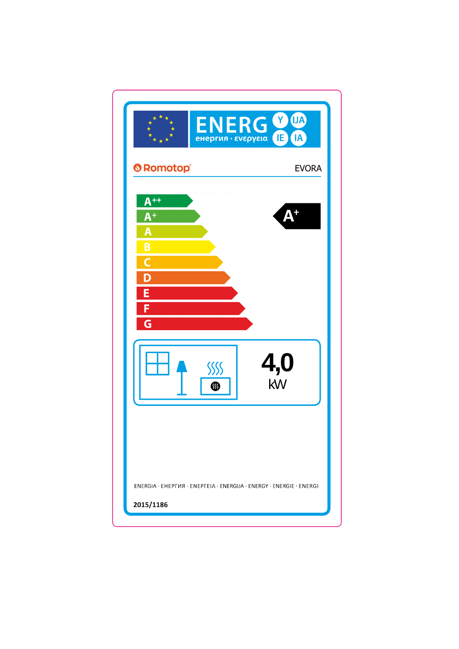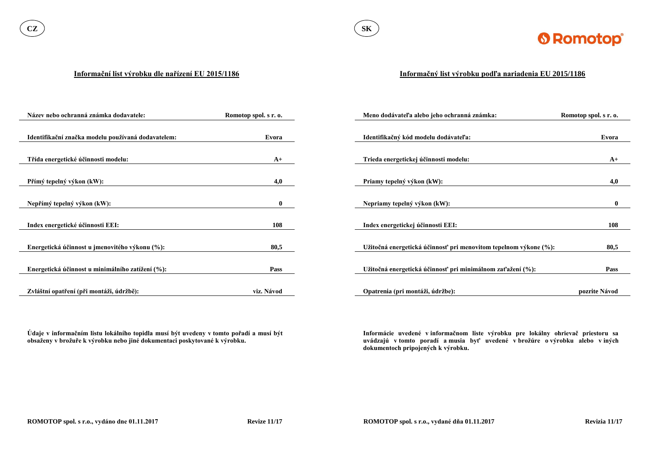

#### **Informační list výrobku dle nařízení EU 2015/1186**

**Údaje v informačním listu lokálního topidla musí být uvedeny v tomto pořadí a musí být obsaženy v brožuře k výrobku nebo jiné dokumentaci poskytované k výrobku.**

| Název nebo ochranná známka dodavatele:             | Romotop spol. s r. o. | Meno dodávateľa alebo jeho ochranná známka:                      | Romotop spol. s r. o. |
|----------------------------------------------------|-----------------------|------------------------------------------------------------------|-----------------------|
|                                                    |                       |                                                                  |                       |
| Identifikační značka modelu používaná dodavatelem: | Evora                 | Identifikačný kód modelu dodávateľa:                             | Evora                 |
|                                                    |                       |                                                                  |                       |
| Třída energetické účinnosti modelu:                | $A+$                  | Trieda energetickej účinnosti modelu:                            | $A+$                  |
|                                                    |                       |                                                                  |                       |
| Přímý tepelný výkon (kW):                          | 4,0                   | Priamy tepelný výkon (kW):                                       | 4,0                   |
|                                                    |                       |                                                                  |                       |
| Nepřímý tepelný výkon (kW):                        | $\mathbf{0}$          | Nepriamy tepelný výkon (kW):                                     | $\mathbf{0}$          |
|                                                    |                       |                                                                  |                       |
| Index energetické účinnosti EEI:                   | 108                   | Index energetickej účinnosti EEI:                                | 108                   |
|                                                    |                       |                                                                  |                       |
| Energetická účinnost u jmenovitého výkonu (%):     | 80,5                  | Užitočná energetická účinnosť pri menovitom tepelnom výkone (%): | 80,5                  |
|                                                    |                       |                                                                  |                       |
| Energetická účinnost u minimálního zatížení (%):   | <b>Pass</b>           | Užitočná energetická účinnosť pri minimálnom zaťažení (%):       | <b>Pass</b>           |
|                                                    |                       |                                                                  |                       |
| Zvláštní opatření (při montáži, údržbě):           | viz. Návod            | Opatrenia (pri montáži, údržbe):                                 | pozrite Návod         |

### **Informačný list výrobku podľa nariadenia EU 2015/1186**

**Informácie uvedené v informačnom liste výrobku pre lokálny ohrievač priestoru sa uvádzajú v tomto poradí a musia byť uvedené v brožúre o výrobku alebo v iných dokumentoch pripojených k výrobku.**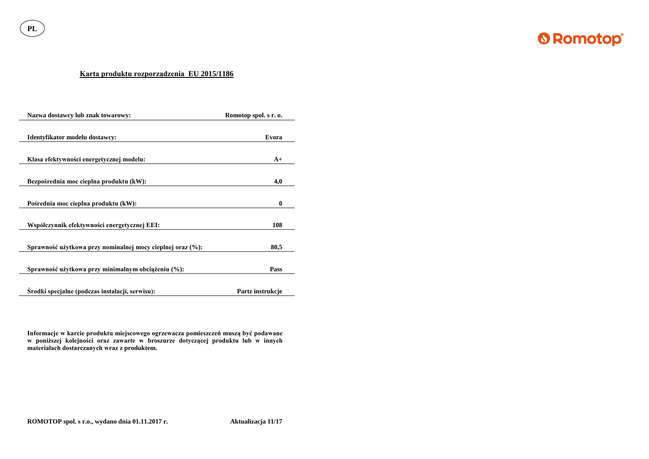**PL**



## **Karta produktu rozporządzenia EU 2015/1186**

| Nazwa dostawcy lub znak towarowy:                          | Romotop spol. s r. o. |
|------------------------------------------------------------|-----------------------|
| Identyfikator modelu dostawcy:                             | Evora                 |
| Klasa efektywności energetycznej modelu:                   | $A+$                  |
| Bezpośrednia moc cieplna produktu (kW):                    | 4,0                   |
| Pośrednia moc cieplna produktu (kW):                       | $\boldsymbol{0}$      |
| Współczynnik efektywności energetycznej EEI:               | 108                   |
| Sprawność użytkowa przy nominalnej mocy cieplnej oraz (%): | 80,5                  |
| Sprawność użytkowa przy minimalnym obciążeniu (%):         | <b>Pass</b>           |
| Srodki specjalne (podczas instalacji, serwisu):            | Partz instrukcje      |

**Informacje w karcie produktu miejscowego ogrzewacza pomieszczeń muszą być podawane w poniższej kolejności oraz zawarte w broszurze dotyczącej produktu lub w innych materiałach dostarczanych wraz z produktem.**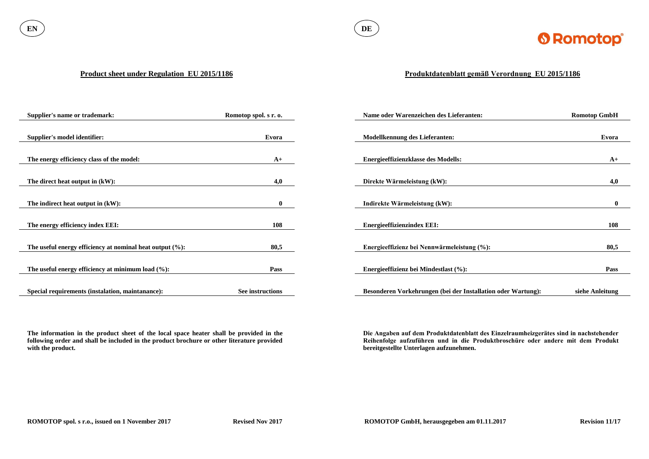

#### **Product sheet under Regulation EU 2015/1186**

**The information in the product sheet of the local space heater shall be provided in the following order and shall be included in the product brochure or other literature provided with the product.**

| <b>Supplier's name or trademark:</b>                        | Romotop spol. s r. o. | Name oder Warenzeichen des Lieferanten:                      | <b>Romotop GmbH</b> |
|-------------------------------------------------------------|-----------------------|--------------------------------------------------------------|---------------------|
|                                                             |                       |                                                              |                     |
| Supplier's model identifier:                                | Evora                 | <b>Modellkennung des Lieferanten:</b>                        | Evora               |
|                                                             |                       |                                                              |                     |
| The energy efficiency class of the model:                   | $A+$                  | <b>Energieeffizienzklasse des Modells:</b>                   | $A+$                |
|                                                             |                       |                                                              |                     |
| The direct heat output in (kW):                             | 4,0                   | Direkte Wärmeleistung (kW):                                  | 4,0                 |
|                                                             |                       |                                                              |                     |
| The indirect heat output in (kW):                           | $\bf{0}$              | Indirekte Wärmeleistung (kW):                                | $\mathbf{0}$        |
|                                                             |                       |                                                              |                     |
| The energy efficiency index EEI:                            | <b>108</b>            | <b>Energieeffizienzindex EEI:</b>                            | 108                 |
|                                                             |                       |                                                              |                     |
| The useful energy efficiency at nominal heat output $(\%):$ | 80,5                  | Energieeffizienz bei Nennwärmeleistung (%):                  | 80,5                |
|                                                             |                       |                                                              |                     |
| The useful energy efficiency at minimum load $(\%):$        | Pass                  | Energieeffizienz bei Mindestlast (%):                        | <b>Pass</b>         |
|                                                             |                       |                                                              |                     |
| Special requirements (instalation, maintanance):            | See instructions      | Besonderen Vorkehrungen (bei der Installation oder Wartung): | siehe Anleitung     |

# **Produktdatenblatt gemäß Verordnung EU 2015/1186**

**Die Angaben auf dem Produktdatenblatt des Einzelraumheizgerätes sind in nachstehender Reihenfolge aufzuführen und in die Produktbroschüre oder andere mit dem Produkt bereitgestellte Unterlagen aufzunehmen.**